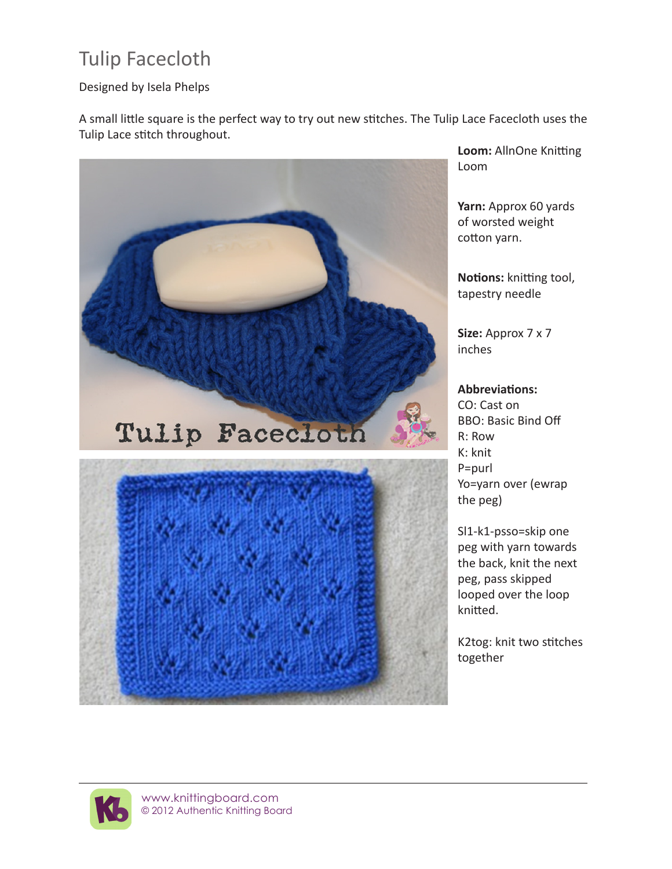## Tulip Facecloth

## Designed by Isela Phelps

A small little square is the perfect way to try out new stitches. The Tulip Lace Facecloth uses the Tulip Lace stitch throughout.



**Loom:** AllnOne Knitting Loom

**Yarn:** Approx 60 yards of worsted weight cotton yarn.

**Notions:** knitting tool, tapestry needle

**Size:** Approx 7 x 7 inches

## **Abbreviations:**

CO: Cast on BBO: Basic Bind Off R: Row K: knit P=purl Yo=yarn over (ewrap the peg)

Sl1-k1-psso=skip one peg with yarn towards the back, knit the next peg, pass skipped looped over the loop knitted.

K2tog: knit two stitches together

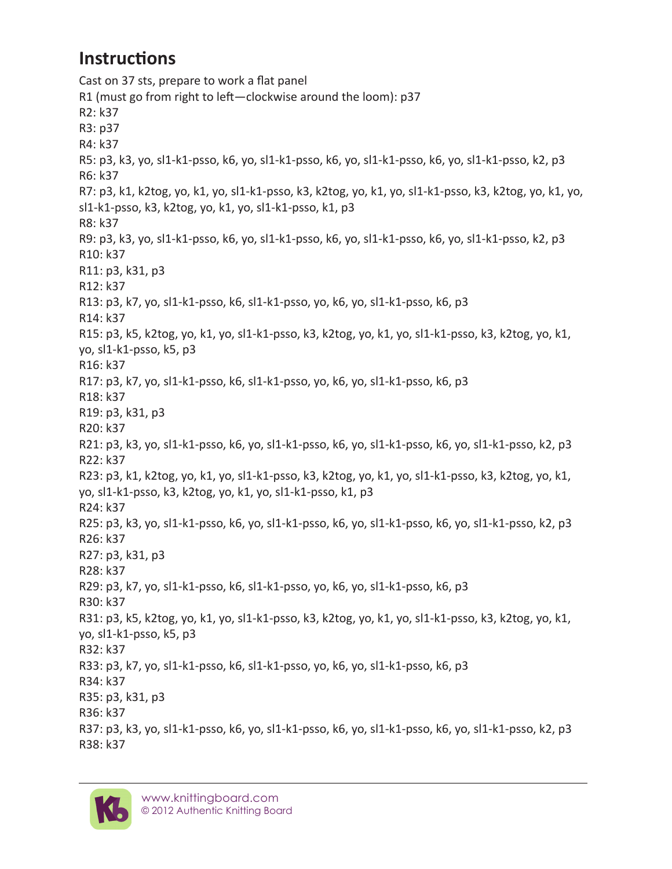## **Instructions**

Cast on 37 sts, prepare to work a flat panel R1 (must go from right to left—clockwise around the loom): p37 R2: k37 R3: p37 R4: k37 R5: p3, k3, yo, sl1-k1-psso, k6, yo, sl1-k1-psso, k6, yo, sl1-k1-psso, k6, yo, sl1-k1-psso, k2, p3 R6: k37 R7: p3, k1, k2tog, yo, k1, yo, sl1-k1-psso, k3, k2tog, yo, k1, yo, sl1-k1-psso, k3, k2tog, yo, k1, yo, sl1-k1-psso, k3, k2tog, yo, k1, yo, sl1-k1-psso, k1, p3 R8: k37 R9: p3, k3, yo, sl1-k1-psso, k6, yo, sl1-k1-psso, k6, yo, sl1-k1-psso, k6, yo, sl1-k1-psso, k2, p3 R10: k37 R11: p3, k31, p3 R12: k37 R13: p3, k7, yo, sl1-k1-psso, k6, sl1-k1-psso, yo, k6, yo, sl1-k1-psso, k6, p3 R14: k37 R15: p3, k5, k2tog, yo, k1, yo, sl1-k1-psso, k3, k2tog, yo, k1, yo, sl1-k1-psso, k3, k2tog, yo, k1, yo, sl1-k1-psso, k5, p3 R16: k37 R17: p3, k7, yo, sl1-k1-psso, k6, sl1-k1-psso, yo, k6, yo, sl1-k1-psso, k6, p3 R18: k37 R19: p3, k31, p3 R20: k37 R21: p3, k3, yo, sl1-k1-psso, k6, yo, sl1-k1-psso, k6, yo, sl1-k1-psso, k6, yo, sl1-k1-psso, k2, p3 R22: k37 R23: p3, k1, k2tog, yo, k1, yo, sl1-k1-psso, k3, k2tog, yo, k1, yo, sl1-k1-psso, k3, k2tog, yo, k1, yo, sl1-k1-psso, k3, k2tog, yo, k1, yo, sl1-k1-psso, k1, p3 R24: k37 R25: p3, k3, yo, sl1-k1-psso, k6, yo, sl1-k1-psso, k6, yo, sl1-k1-psso, k6, yo, sl1-k1-psso, k2, p3 R26: k37 R27: p3, k31, p3 R28: k37 R29: p3, k7, yo, sl1-k1-psso, k6, sl1-k1-psso, yo, k6, yo, sl1-k1-psso, k6, p3 R30: k37 R31: p3, k5, k2tog, yo, k1, yo, sl1-k1-psso, k3, k2tog, yo, k1, yo, sl1-k1-psso, k3, k2tog, yo, k1, yo, sl1-k1-psso, k5, p3 R32: k37 R33: p3, k7, yo, sl1-k1-psso, k6, sl1-k1-psso, yo, k6, yo, sl1-k1-psso, k6, p3 R34: k37 R35: p3, k31, p3 R36: k37 R37: p3, k3, yo, sl1-k1-psso, k6, yo, sl1-k1-psso, k6, yo, sl1-k1-psso, k6, yo, sl1-k1-psso, k2, p3 R38: k37

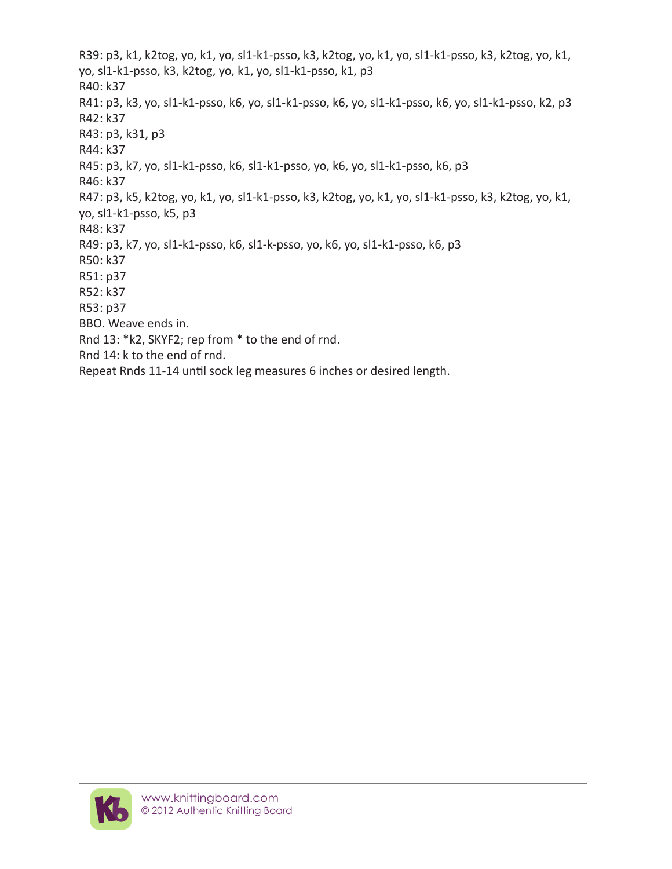R39: p3, k1, k2tog, yo, k1, yo, sl1-k1-psso, k3, k2tog, yo, k1, yo, sl1-k1-psso, k3, k2tog, yo, k1, yo, sl1-k1-psso, k3, k2tog, yo, k1, yo, sl1-k1-psso, k1, p3 R40: k37 R41: p3, k3, yo, sl1-k1-psso, k6, yo, sl1-k1-psso, k6, yo, sl1-k1-psso, k6, yo, sl1-k1-psso, k2, p3 R42: k37 R43: p3, k31, p3 R44: k37 R45: p3, k7, yo, sl1-k1-psso, k6, sl1-k1-psso, yo, k6, yo, sl1-k1-psso, k6, p3 R46: k37 R47: p3, k5, k2tog, yo, k1, yo, sl1-k1-psso, k3, k2tog, yo, k1, yo, sl1-k1-psso, k3, k2tog, yo, k1, yo, sl1-k1-psso, k5, p3 R48: k37 R49: p3, k7, yo, sl1-k1-psso, k6, sl1-k-psso, yo, k6, yo, sl1-k1-psso, k6, p3 R50: k37 R51: p37 R52: k37 R53: p37 BBO. Weave ends in. Rnd 13: \*k2, SKYF2; rep from \* to the end of rnd. Rnd 14: k to the end of rnd. Repeat Rnds 11-14 until sock leg measures 6 inches or desired length.